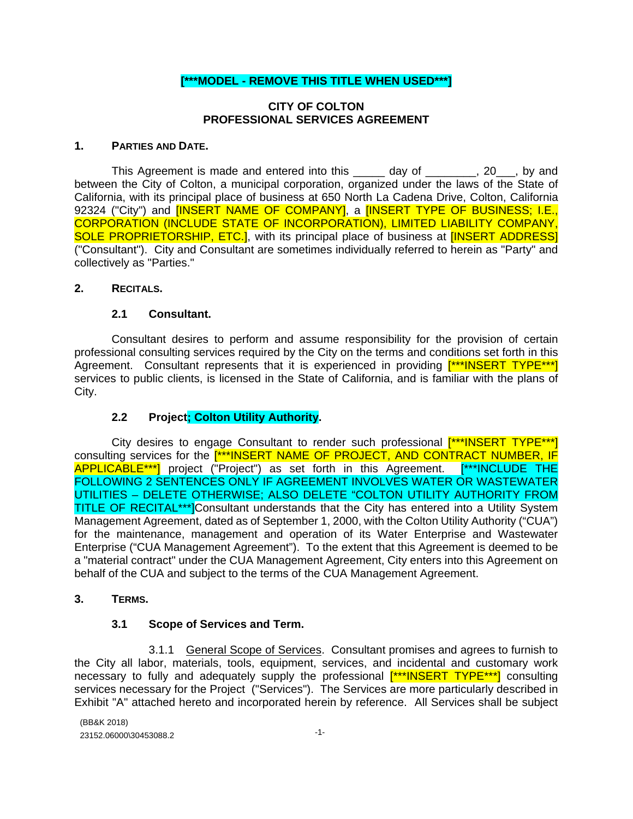### **[\*\*\*MODEL - REMOVE THIS TITLE WHEN USED\*\*\*]**

#### **CITY OF COLTON PROFESSIONAL SERVICES AGREEMENT**

#### **1. PARTIES AND DATE.**

This Agreement is made and entered into this day of This Agreement is made and entered into this day of the same of  $\frac{1}{20}$ , by and between the City of Colton, a municipal corporation, organized under the laws of the State of California, with its principal place of business at 650 North La Cadena Drive, Colton, California 92324 ("City") and **[INSERT NAME OF COMPANY]**, a **[INSERT TYPE OF BUSINESS; I.E.**, CORPORATION (INCLUDE STATE OF INCORPORATION), LIMITED LIABILITY COMPANY, SOLE PROPRIETORSHIP, ETC.], with its principal place of business at [INSERT ADDRESS] ("Consultant"). City and Consultant are sometimes individually referred to herein as "Party" and collectively as "Parties."

#### **2. RECITALS.**

#### **2.1 Consultant.**

Consultant desires to perform and assume responsibility for the provision of certain professional consulting services required by the City on the terms and conditions set forth in this Agreement. Consultant represents that it is experienced in providing [\*\*\*INSERT TYPE\*\*\*] services to public clients, is licensed in the State of California, and is familiar with the plans of City.

### **2.2 Project; Colton Utility Authority.**

City desires to engage Consultant to render such professional [\*\*\*INSERT TYPE\*\*\*] consulting services for the [\*\*\*INSERT NAME OF PROJECT, AND CONTRACT NUMBER, IF APPLICABLE<sup>\*\*\*</sup>] project ("Project") as set forth in this Agreement. [\*\*\*INCLUDE THE FOLLOWING 2 SENTENCES ONLY IF AGREEMENT INVOLVES WATER OR WASTEWATER UTILITIES – DELETE OTHERWISE; ALSO DELETE "COLTON UTILITY AUTHORITY FROM TITLE OF RECITAL\*\*\*]Consultant understands that the City has entered into a Utility System Management Agreement, dated as of September 1, 2000, with the Colton Utility Authority ("CUA") for the maintenance, management and operation of its Water Enterprise and Wastewater Enterprise ("CUA Management Agreement"). To the extent that this Agreement is deemed to be a "material contract" under the CUA Management Agreement, City enters into this Agreement on behalf of the CUA and subject to the terms of the CUA Management Agreement.

#### **3. TERMS.**

### **3.1 Scope of Services and Term.**

3.1.1 General Scope of Services. Consultant promises and agrees to furnish to the City all labor, materials, tools, equipment, services, and incidental and customary work necessary to fully and adequately supply the professional [\*\*\*INSERT TYPE\*\*\*] consulting services necessary for the Project ("Services"). The Services are more particularly described in Exhibit "A" attached hereto and incorporated herein by reference. All Services shall be subject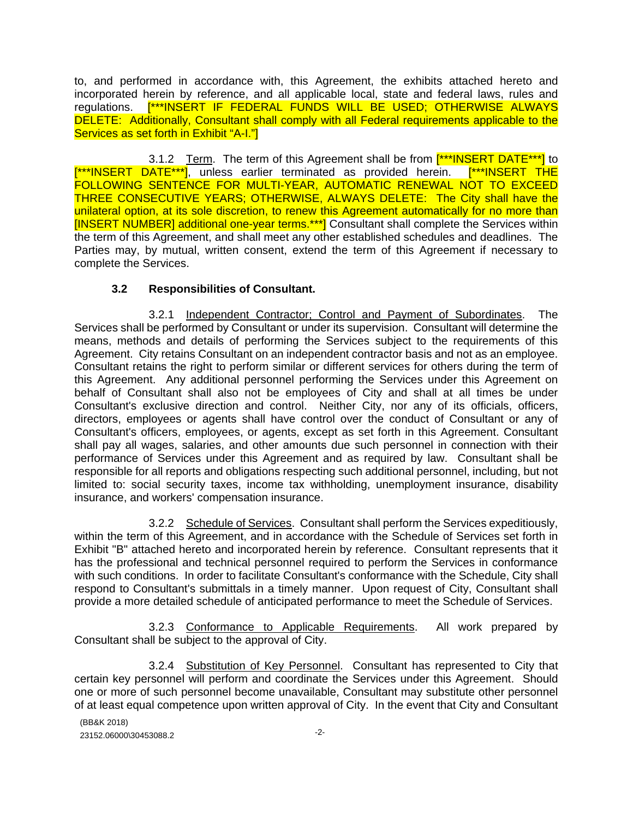to, and performed in accordance with, this Agreement, the exhibits attached hereto and incorporated herein by reference, and all applicable local, state and federal laws, rules and regulations. [\*\*\*INSERT IF FEDERAL FUNDS WILL BE USED; OTHERWISE ALWAYS DELETE: Additionally, Consultant shall comply with all Federal requirements applicable to the Services as set forth in Exhibit "A-I."]

3.1.2 Term. The term of this Agreement shall be from [<sup>\*\*\*</sup>INSERT DATE\*\*\*] to [\*\*\*INSERT DATE\*\*\*], unless earlier terminated as provided herein. [\*\*\*INSERT THE FOLLOWING SENTENCE FOR MULTI-YEAR, AUTOMATIC RENEWAL NOT TO EXCEED THREE CONSECUTIVE YEARS; OTHERWISE, ALWAYS DELETE: The City shall have the unilateral option, at its sole discretion, to renew this Agreement automatically for no more than [INSERT NUMBER] additional one-year terms.\*\*\*] Consultant shall complete the Services within the term of this Agreement, and shall meet any other established schedules and deadlines. The Parties may, by mutual, written consent, extend the term of this Agreement if necessary to complete the Services.

## **3.2 Responsibilities of Consultant.**

3.2.1 Independent Contractor; Control and Payment of Subordinates. The Services shall be performed by Consultant or under its supervision. Consultant will determine the means, methods and details of performing the Services subject to the requirements of this Agreement. City retains Consultant on an independent contractor basis and not as an employee. Consultant retains the right to perform similar or different services for others during the term of this Agreement. Any additional personnel performing the Services under this Agreement on behalf of Consultant shall also not be employees of City and shall at all times be under Consultant's exclusive direction and control. Neither City, nor any of its officials, officers, directors, employees or agents shall have control over the conduct of Consultant or any of Consultant's officers, employees, or agents, except as set forth in this Agreement. Consultant shall pay all wages, salaries, and other amounts due such personnel in connection with their performance of Services under this Agreement and as required by law. Consultant shall be responsible for all reports and obligations respecting such additional personnel, including, but not limited to: social security taxes, income tax withholding, unemployment insurance, disability insurance, and workers' compensation insurance.

3.2.2 Schedule of Services. Consultant shall perform the Services expeditiously, within the term of this Agreement, and in accordance with the Schedule of Services set forth in Exhibit "B" attached hereto and incorporated herein by reference. Consultant represents that it has the professional and technical personnel required to perform the Services in conformance with such conditions. In order to facilitate Consultant's conformance with the Schedule, City shall respond to Consultant's submittals in a timely manner. Upon request of City, Consultant shall provide a more detailed schedule of anticipated performance to meet the Schedule of Services.

3.2.3 Conformance to Applicable Requirements. All work prepared by Consultant shall be subject to the approval of City.

3.2.4 Substitution of Key Personnel. Consultant has represented to City that certain key personnel will perform and coordinate the Services under this Agreement. Should one or more of such personnel become unavailable, Consultant may substitute other personnel of at least equal competence upon written approval of City. In the event that City and Consultant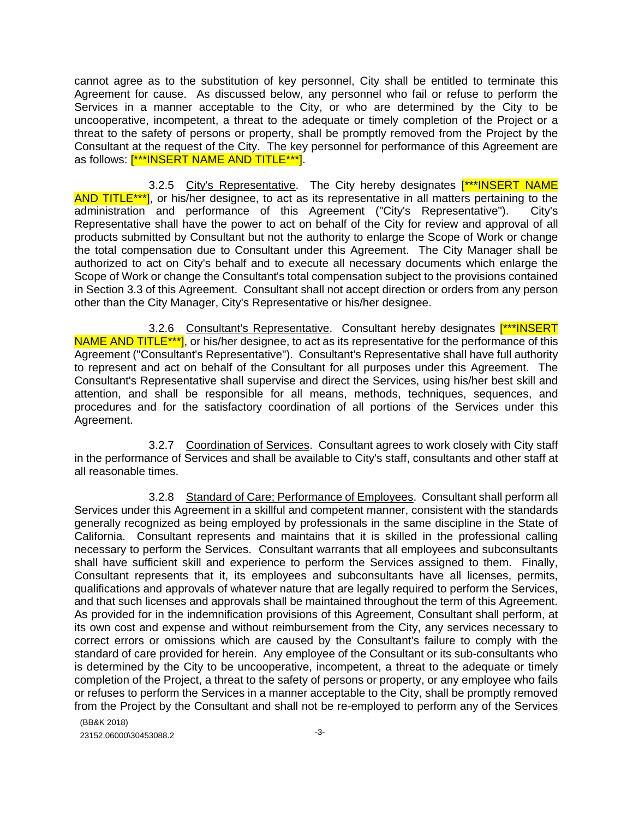cannot agree as to the substitution of key personnel, City shall be entitled to terminate this Agreement for cause. As discussed below, any personnel who fail or refuse to perform the Services in a manner acceptable to the City, or who are determined by the City to be uncooperative, incompetent, a threat to the adequate or timely completion of the Project or a threat to the safety of persons or property, shall be promptly removed from the Project by the Consultant at the request of the City. The key personnel for performance of this Agreement are as follows: [\*\*\*INSERT NAME AND TITLE\*\*\*].

3.2.5 City's Representative. The City hereby designates [\*\*\*INSERT NAME AND TITLE\*\*\*], or his/her designee, to act as its representative in all matters pertaining to the administration and performance of this Agreement ("City's Representative"). City's Representative shall have the power to act on behalf of the City for review and approval of all products submitted by Consultant but not the authority to enlarge the Scope of Work or change the total compensation due to Consultant under this Agreement. The City Manager shall be authorized to act on City's behalf and to execute all necessary documents which enlarge the Scope of Work or change the Consultant's total compensation subject to the provisions contained in Section 3.3 of this Agreement. Consultant shall not accept direction or orders from any person other than the City Manager, City's Representative or his/her designee.

3.2.6 Consultant's Representative. Consultant hereby designates [<sup>\*\*\*</sup>INSERT] NAME AND TITLE<sup>\*\*\*</sup>], or his/her designee, to act as its representative for the performance of this Agreement ("Consultant's Representative"). Consultant's Representative shall have full authority to represent and act on behalf of the Consultant for all purposes under this Agreement. The Consultant's Representative shall supervise and direct the Services, using his/her best skill and attention, and shall be responsible for all means, methods, techniques, sequences, and procedures and for the satisfactory coordination of all portions of the Services under this Agreement.

3.2.7 Coordination of Services. Consultant agrees to work closely with City staff in the performance of Services and shall be available to City's staff, consultants and other staff at all reasonable times.

3.2.8 Standard of Care; Performance of Employees. Consultant shall perform all Services under this Agreement in a skillful and competent manner, consistent with the standards generally recognized as being employed by professionals in the same discipline in the State of California. Consultant represents and maintains that it is skilled in the professional calling necessary to perform the Services. Consultant warrants that all employees and subconsultants shall have sufficient skill and experience to perform the Services assigned to them. Finally, Consultant represents that it, its employees and subconsultants have all licenses, permits, qualifications and approvals of whatever nature that are legally required to perform the Services, and that such licenses and approvals shall be maintained throughout the term of this Agreement. As provided for in the indemnification provisions of this Agreement, Consultant shall perform, at its own cost and expense and without reimbursement from the City, any services necessary to correct errors or omissions which are caused by the Consultant's failure to comply with the standard of care provided for herein. Any employee of the Consultant or its sub-consultants who is determined by the City to be uncooperative, incompetent, a threat to the adequate or timely completion of the Project, a threat to the safety of persons or property, or any employee who fails or refuses to perform the Services in a manner acceptable to the City, shall be promptly removed from the Project by the Consultant and shall not be re-employed to perform any of the Services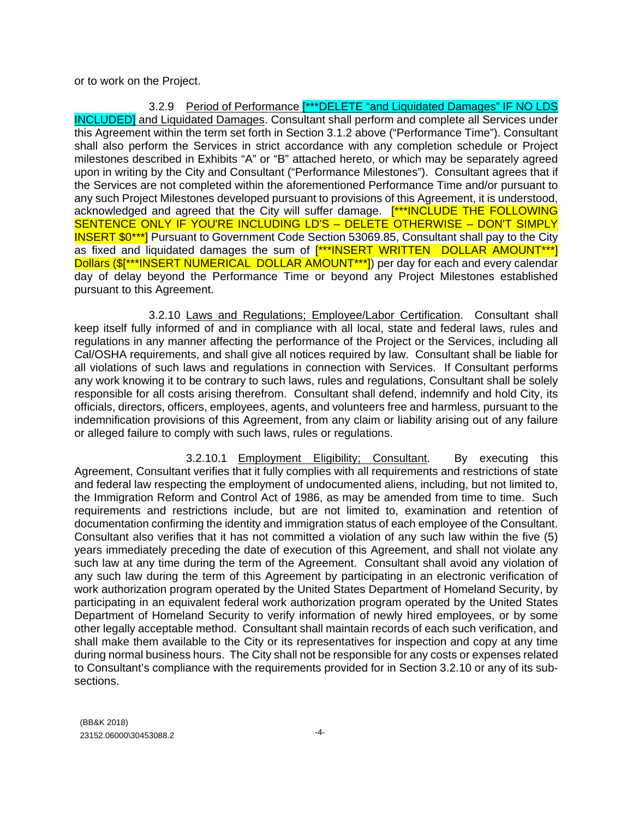or to work on the Project.

3.2.9 Period of Performance [\*\*\*DELETE "and Liquidated Damages" IF NO LDS INCLUDED] and Liquidated Damages. Consultant shall perform and complete all Services under this Agreement within the term set forth in Section 3.1.2 above ("Performance Time"). Consultant shall also perform the Services in strict accordance with any completion schedule or Project milestones described in Exhibits "A" or "B" attached hereto, or which may be separately agreed upon in writing by the City and Consultant ("Performance Milestones"). Consultant agrees that if the Services are not completed within the aforementioned Performance Time and/or pursuant to any such Project Milestones developed pursuant to provisions of this Agreement, it is understood, acknowledged and agreed that the City will suffer damage. [\*\*\*INCLUDE THE FOLLOWING SENTENCE ONLY IF YOU'RE INCLUDING LD'S – DELETE OTHERWISE – DON'T SIMPLY **INSERT \$0\*\*\***] Pursuant to Government Code Section 53069.85, Consultant shall pay to the City as fixed and liquidated damages the sum of [\*\*\*INSERT WRITTEN DOLLAR AMOUNT\*\*\*] Dollars (\$[\*\*\*INSERT NUMERICAL DOLLAR AMOUNT<sup>\*\*\*</sup>]) per day for each and every calendar day of delay beyond the Performance Time or beyond any Project Milestones established pursuant to this Agreement.

3.2.10 Laws and Regulations; Employee/Labor Certification. Consultant shall keep itself fully informed of and in compliance with all local, state and federal laws, rules and regulations in any manner affecting the performance of the Project or the Services, including all Cal/OSHA requirements, and shall give all notices required by law. Consultant shall be liable for all violations of such laws and regulations in connection with Services. If Consultant performs any work knowing it to be contrary to such laws, rules and regulations, Consultant shall be solely responsible for all costs arising therefrom. Consultant shall defend, indemnify and hold City, its officials, directors, officers, employees, agents, and volunteers free and harmless, pursuant to the indemnification provisions of this Agreement, from any claim or liability arising out of any failure or alleged failure to comply with such laws, rules or regulations.

3.2.10.1 Employment Eligibility; Consultant. By executing this Agreement, Consultant verifies that it fully complies with all requirements and restrictions of state and federal law respecting the employment of undocumented aliens, including, but not limited to, the Immigration Reform and Control Act of 1986, as may be amended from time to time. Such requirements and restrictions include, but are not limited to, examination and retention of documentation confirming the identity and immigration status of each employee of the Consultant. Consultant also verifies that it has not committed a violation of any such law within the five (5) years immediately preceding the date of execution of this Agreement, and shall not violate any such law at any time during the term of the Agreement. Consultant shall avoid any violation of any such law during the term of this Agreement by participating in an electronic verification of work authorization program operated by the United States Department of Homeland Security, by participating in an equivalent federal work authorization program operated by the United States Department of Homeland Security to verify information of newly hired employees, or by some other legally acceptable method. Consultant shall maintain records of each such verification, and shall make them available to the City or its representatives for inspection and copy at any time during normal business hours. The City shall not be responsible for any costs or expenses related to Consultant's compliance with the requirements provided for in Section 3.2.10 or any of its subsections.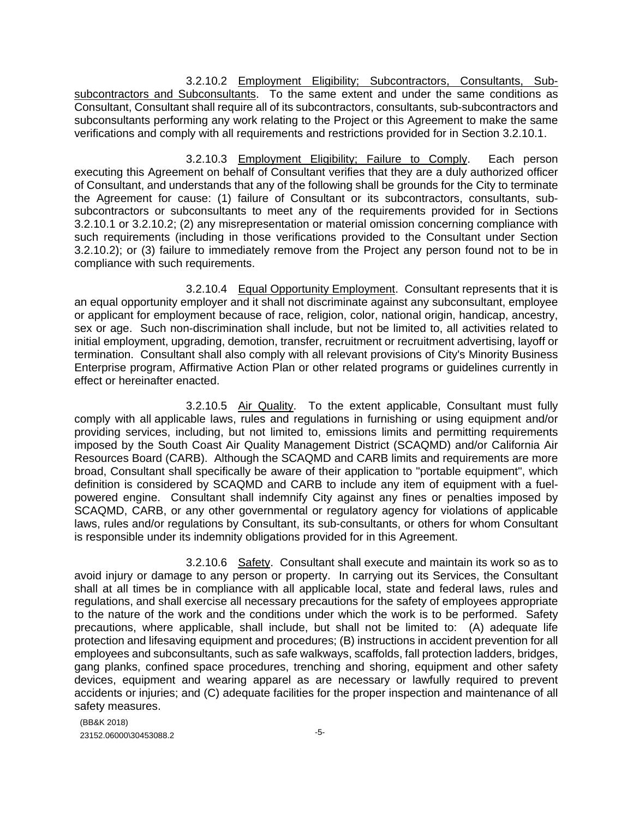3.2.10.2 Employment Eligibility; Subcontractors, Consultants, Subsubcontractors and Subconsultants. To the same extent and under the same conditions as Consultant, Consultant shall require all of its subcontractors, consultants, sub-subcontractors and subconsultants performing any work relating to the Project or this Agreement to make the same verifications and comply with all requirements and restrictions provided for in Section 3.2.10.1.

3.2.10.3 Employment Eligibility; Failure to Comply. Each person executing this Agreement on behalf of Consultant verifies that they are a duly authorized officer of Consultant, and understands that any of the following shall be grounds for the City to terminate the Agreement for cause: (1) failure of Consultant or its subcontractors, consultants, subsubcontractors or subconsultants to meet any of the requirements provided for in Sections 3.2.10.1 or 3.2.10.2; (2) any misrepresentation or material omission concerning compliance with such requirements (including in those verifications provided to the Consultant under Section 3.2.10.2); or (3) failure to immediately remove from the Project any person found not to be in compliance with such requirements.

3.2.10.4 Equal Opportunity Employment. Consultant represents that it is an equal opportunity employer and it shall not discriminate against any subconsultant, employee or applicant for employment because of race, religion, color, national origin, handicap, ancestry, sex or age. Such non-discrimination shall include, but not be limited to, all activities related to initial employment, upgrading, demotion, transfer, recruitment or recruitment advertising, layoff or termination. Consultant shall also comply with all relevant provisions of City's Minority Business Enterprise program, Affirmative Action Plan or other related programs or guidelines currently in effect or hereinafter enacted.

3.2.10.5 Air Quality. To the extent applicable, Consultant must fully comply with all applicable laws, rules and regulations in furnishing or using equipment and/or providing services, including, but not limited to, emissions limits and permitting requirements imposed by the South Coast Air Quality Management District (SCAQMD) and/or California Air Resources Board (CARB). Although the SCAQMD and CARB limits and requirements are more broad, Consultant shall specifically be aware of their application to "portable equipment", which definition is considered by SCAQMD and CARB to include any item of equipment with a fuelpowered engine. Consultant shall indemnify City against any fines or penalties imposed by SCAQMD, CARB, or any other governmental or regulatory agency for violations of applicable laws, rules and/or regulations by Consultant, its sub-consultants, or others for whom Consultant is responsible under its indemnity obligations provided for in this Agreement.

3.2.10.6 Safety. Consultant shall execute and maintain its work so as to avoid injury or damage to any person or property. In carrying out its Services, the Consultant shall at all times be in compliance with all applicable local, state and federal laws, rules and regulations, and shall exercise all necessary precautions for the safety of employees appropriate to the nature of the work and the conditions under which the work is to be performed. Safety precautions, where applicable, shall include, but shall not be limited to: (A) adequate life protection and lifesaving equipment and procedures; (B) instructions in accident prevention for all employees and subconsultants, such as safe walkways, scaffolds, fall protection ladders, bridges, gang planks, confined space procedures, trenching and shoring, equipment and other safety devices, equipment and wearing apparel as are necessary or lawfully required to prevent accidents or injuries; and (C) adequate facilities for the proper inspection and maintenance of all safety measures.

(BB&K 2018)  $23152.06000\backslash 30453088.2$   $-5$ -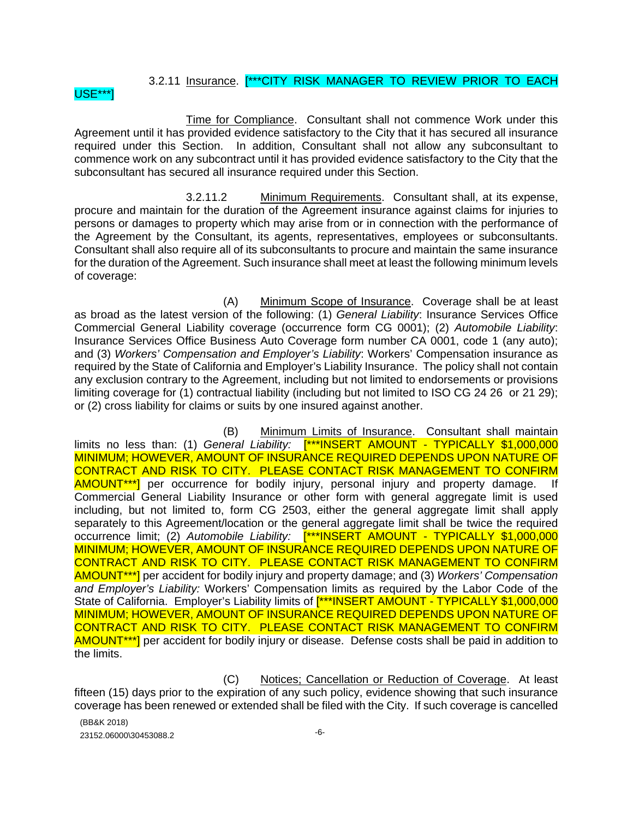# 3.2.11 Insurance. [\*\*\*CITY RISK MANAGER TO REVIEW PRIOR TO EACH

#### USE\*\*\*]

Time for Compliance. Consultant shall not commence Work under this Agreement until it has provided evidence satisfactory to the City that it has secured all insurance required under this Section. In addition, Consultant shall not allow any subconsultant to commence work on any subcontract until it has provided evidence satisfactory to the City that the subconsultant has secured all insurance required under this Section.

3.2.11.2 Minimum Requirements. Consultant shall, at its expense, procure and maintain for the duration of the Agreement insurance against claims for injuries to persons or damages to property which may arise from or in connection with the performance of the Agreement by the Consultant, its agents, representatives, employees or subconsultants. Consultant shall also require all of its subconsultants to procure and maintain the same insurance for the duration of the Agreement. Such insurance shall meet at least the following minimum levels of coverage:

(A) Minimum Scope of Insurance. Coverage shall be at least as broad as the latest version of the following: (1) *General Liability*: Insurance Services Office Commercial General Liability coverage (occurrence form CG 0001); (2) *Automobile Liability*: Insurance Services Office Business Auto Coverage form number CA 0001, code 1 (any auto); and (3) *Workers' Compensation and Employer's Liability*: Workers' Compensation insurance as required by the State of California and Employer's Liability Insurance. The policy shall not contain any exclusion contrary to the Agreement, including but not limited to endorsements or provisions limiting coverage for (1) contractual liability (including but not limited to ISO CG 24 26 or 21 29); or (2) cross liability for claims or suits by one insured against another.

(B) Minimum Limits of Insurance. Consultant shall maintain limits no less than: (1) *General Liability:* [\*\*\*INSERT AMOUNT - TYPICALLY \$1,000,000 MINIMUM; HOWEVER, AMOUNT OF INSURANCE REQUIRED DEPENDS UPON NATURE OF CONTRACT AND RISK TO CITY. PLEASE CONTACT RISK MANAGEMENT TO CONFIRM AMOUNT<sup>\*\*\*</sup>] per occurrence for bodily injury, personal injury and property damage. If Commercial General Liability Insurance or other form with general aggregate limit is used including, but not limited to, form CG 2503, either the general aggregate limit shall apply separately to this Agreement/location or the general aggregate limit shall be twice the required occurrence limit; (2) *Automobile Liability:* [\*\*\*INSERT AMOUNT - TYPICALLY \$1,000,000 MINIMUM; HOWEVER, AMOUNT OF INSURANCE REQUIRED DEPENDS UPON NATURE OF CONTRACT AND RISK TO CITY. PLEASE CONTACT RISK MANAGEMENT TO CONFIRM AMOUNT\*\*\*] per accident for bodily injury and property damage; and (3) *Workers' Compensation and Employer's Liability:* Workers' Compensation limits as required by the Labor Code of the State of California. Employer's Liability limits of [\*\*\*INSERT AMOUNT - TYPICALLY \$1,000,000 MINIMUM; HOWEVER, AMOUNT OF INSURANCE REQUIRED DEPENDS UPON NATURE OF CONTRACT AND RISK TO CITY. PLEASE CONTACT RISK MANAGEMENT TO CONFIRM AMOUNT\*\*\*] per accident for bodily injury or disease. Defense costs shall be paid in addition to the limits.

(C) Notices; Cancellation or Reduction of Coverage. At least fifteen (15) days prior to the expiration of any such policy, evidence showing that such insurance coverage has been renewed or extended shall be filed with the City. If such coverage is cancelled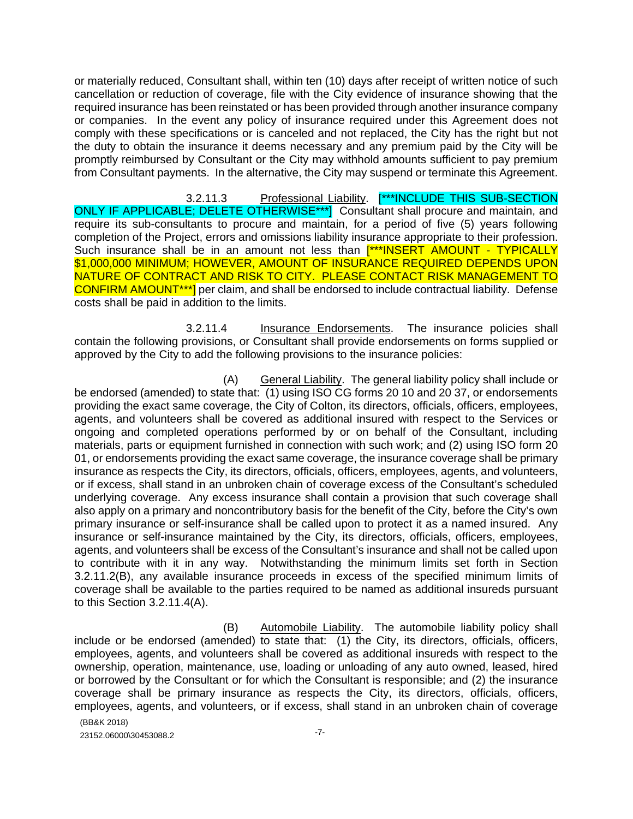or materially reduced, Consultant shall, within ten (10) days after receipt of written notice of such cancellation or reduction of coverage, file with the City evidence of insurance showing that the required insurance has been reinstated or has been provided through another insurance company or companies. In the event any policy of insurance required under this Agreement does not comply with these specifications or is canceled and not replaced, the City has the right but not the duty to obtain the insurance it deems necessary and any premium paid by the City will be promptly reimbursed by Consultant or the City may withhold amounts sufficient to pay premium from Consultant payments. In the alternative, the City may suspend or terminate this Agreement.

3.2.11.3 Professional Liability. [\*\*\*INCLUDE THIS SUB-SECTION ONLY IF APPLICABLE; DELETE OTHERWISE\*\*\*] Consultant shall procure and maintain, and require its sub-consultants to procure and maintain, for a period of five (5) years following completion of the Project, errors and omissions liability insurance appropriate to their profession. Such insurance shall be in an amount not less than [\*\*\*INSERT AMOUNT - TYPICALLY \$1,000,000 MINIMUM; HOWEVER, AMOUNT OF INSURANCE REQUIRED DEPENDS UPON NATURE OF CONTRACT AND RISK TO CITY. PLEASE CONTACT RISK MANAGEMENT TO CONFIRM AMOUNT\*\*\*] per claim, and shall be endorsed to include contractual liability. Defense costs shall be paid in addition to the limits.

3.2.11.4 Insurance Endorsements. The insurance policies shall contain the following provisions, or Consultant shall provide endorsements on forms supplied or approved by the City to add the following provisions to the insurance policies:

(A) General Liability. The general liability policy shall include or be endorsed (amended) to state that: (1) using ISO CG forms 20 10 and 20 37, or endorsements providing the exact same coverage, the City of Colton, its directors, officials, officers, employees, agents, and volunteers shall be covered as additional insured with respect to the Services or ongoing and completed operations performed by or on behalf of the Consultant, including materials, parts or equipment furnished in connection with such work; and (2) using ISO form 20 01, or endorsements providing the exact same coverage, the insurance coverage shall be primary insurance as respects the City, its directors, officials, officers, employees, agents, and volunteers, or if excess, shall stand in an unbroken chain of coverage excess of the Consultant's scheduled underlying coverage. Any excess insurance shall contain a provision that such coverage shall also apply on a primary and noncontributory basis for the benefit of the City, before the City's own primary insurance or self-insurance shall be called upon to protect it as a named insured. Any insurance or self-insurance maintained by the City, its directors, officials, officers, employees, agents, and volunteers shall be excess of the Consultant's insurance and shall not be called upon to contribute with it in any way. Notwithstanding the minimum limits set forth in Section 3.2.11.2(B), any available insurance proceeds in excess of the specified minimum limits of coverage shall be available to the parties required to be named as additional insureds pursuant to this Section 3.2.11.4(A).

(B) Automobile Liability. The automobile liability policy shall include or be endorsed (amended) to state that: (1) the City, its directors, officials, officers, employees, agents, and volunteers shall be covered as additional insureds with respect to the ownership, operation, maintenance, use, loading or unloading of any auto owned, leased, hired or borrowed by the Consultant or for which the Consultant is responsible; and (2) the insurance coverage shall be primary insurance as respects the City, its directors, officials, officers, employees, agents, and volunteers, or if excess, shall stand in an unbroken chain of coverage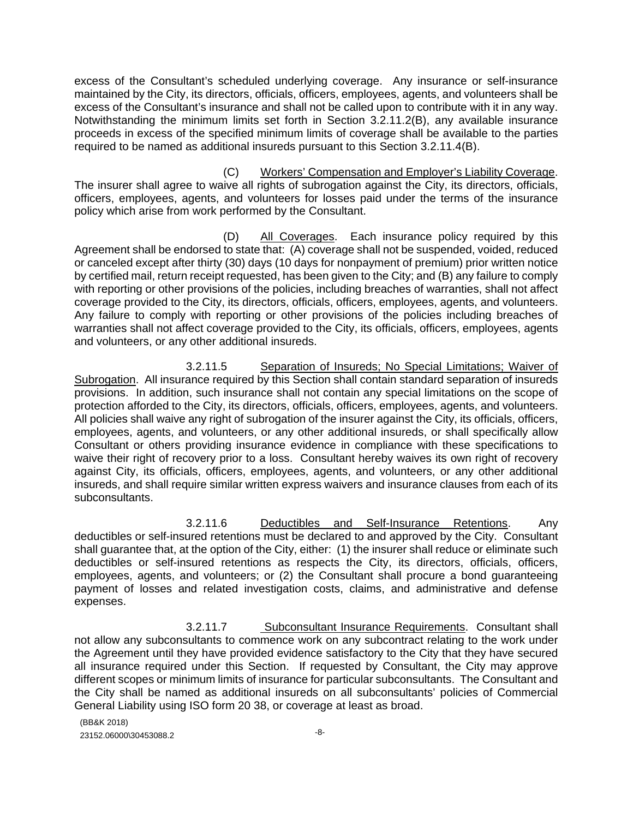excess of the Consultant's scheduled underlying coverage. Any insurance or self-insurance maintained by the City, its directors, officials, officers, employees, agents, and volunteers shall be excess of the Consultant's insurance and shall not be called upon to contribute with it in any way. Notwithstanding the minimum limits set forth in Section 3.2.11.2(B), any available insurance proceeds in excess of the specified minimum limits of coverage shall be available to the parties required to be named as additional insureds pursuant to this Section 3.2.11.4(B).

(C) Workers' Compensation and Employer's Liability Coverage. The insurer shall agree to waive all rights of subrogation against the City, its directors, officials, officers, employees, agents, and volunteers for losses paid under the terms of the insurance policy which arise from work performed by the Consultant.

(D) All Coverages. Each insurance policy required by this Agreement shall be endorsed to state that: (A) coverage shall not be suspended, voided, reduced or canceled except after thirty (30) days (10 days for nonpayment of premium) prior written notice by certified mail, return receipt requested, has been given to the City; and (B) any failure to comply with reporting or other provisions of the policies, including breaches of warranties, shall not affect coverage provided to the City, its directors, officials, officers, employees, agents, and volunteers. Any failure to comply with reporting or other provisions of the policies including breaches of warranties shall not affect coverage provided to the City, its officials, officers, employees, agents and volunteers, or any other additional insureds.

3.2.11.5 Separation of Insureds; No Special Limitations; Waiver of Subrogation. All insurance required by this Section shall contain standard separation of insureds provisions. In addition, such insurance shall not contain any special limitations on the scope of protection afforded to the City, its directors, officials, officers, employees, agents, and volunteers. All policies shall waive any right of subrogation of the insurer against the City, its officials, officers, employees, agents, and volunteers, or any other additional insureds, or shall specifically allow Consultant or others providing insurance evidence in compliance with these specifications to waive their right of recovery prior to a loss. Consultant hereby waives its own right of recovery against City, its officials, officers, employees, agents, and volunteers, or any other additional insureds, and shall require similar written express waivers and insurance clauses from each of its subconsultants.

3.2.11.6 Deductibles and Self-Insurance Retentions. Any deductibles or self-insured retentions must be declared to and approved by the City. Consultant shall guarantee that, at the option of the City, either: (1) the insurer shall reduce or eliminate such deductibles or self-insured retentions as respects the City, its directors, officials, officers, employees, agents, and volunteers; or (2) the Consultant shall procure a bond guaranteeing payment of losses and related investigation costs, claims, and administrative and defense expenses.

3.2.11.7 Subconsultant Insurance Requirements. Consultant shall not allow any subconsultants to commence work on any subcontract relating to the work under the Agreement until they have provided evidence satisfactory to the City that they have secured all insurance required under this Section. If requested by Consultant, the City may approve different scopes or minimum limits of insurance for particular subconsultants. The Consultant and the City shall be named as additional insureds on all subconsultants' policies of Commercial General Liability using ISO form 20 38, or coverage at least as broad.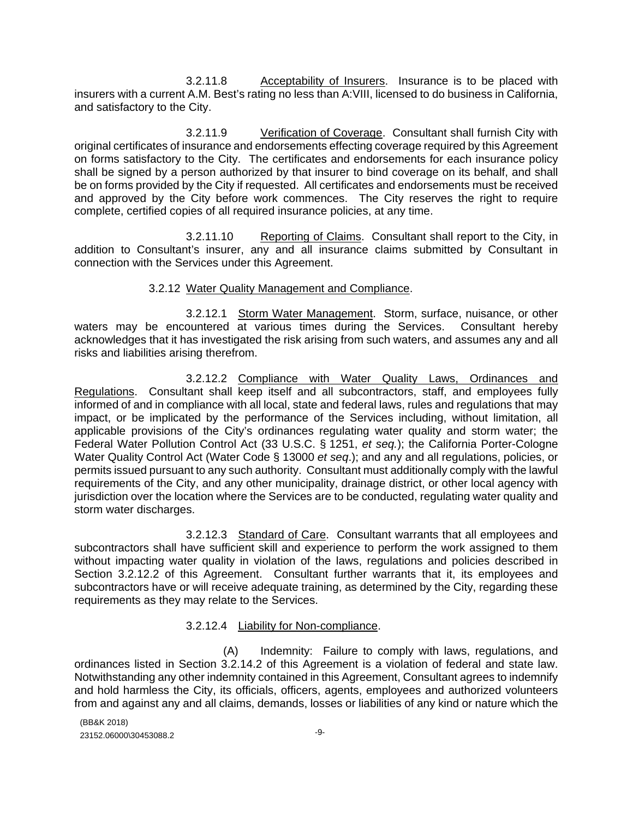3.2.11.8 Acceptability of Insurers. Insurance is to be placed with insurers with a current A.M. Best's rating no less than A:VIII, licensed to do business in California, and satisfactory to the City.

3.2.11.9 Verification of Coverage. Consultant shall furnish City with original certificates of insurance and endorsements effecting coverage required by this Agreement on forms satisfactory to the City. The certificates and endorsements for each insurance policy shall be signed by a person authorized by that insurer to bind coverage on its behalf, and shall be on forms provided by the City if requested. All certificates and endorsements must be received and approved by the City before work commences. The City reserves the right to require complete, certified copies of all required insurance policies, at any time.

3.2.11.10 Reporting of Claims. Consultant shall report to the City, in addition to Consultant's insurer, any and all insurance claims submitted by Consultant in connection with the Services under this Agreement.

#### 3.2.12 Water Quality Management and Compliance.

3.2.12.1 Storm Water Management. Storm, surface, nuisance, or other waters may be encountered at various times during the Services. Consultant hereby acknowledges that it has investigated the risk arising from such waters, and assumes any and all risks and liabilities arising therefrom.

3.2.12.2 Compliance with Water Quality Laws, Ordinances and Regulations. Consultant shall keep itself and all subcontractors, staff, and employees fully informed of and in compliance with all local, state and federal laws, rules and regulations that may impact, or be implicated by the performance of the Services including, without limitation, all applicable provisions of the City's ordinances regulating water quality and storm water; the Federal Water Pollution Control Act (33 U.S.C. § 1251, *et seq.*); the California Porter-Cologne Water Quality Control Act (Water Code § 13000 *et seq*.); and any and all regulations, policies, or permits issued pursuant to any such authority. Consultant must additionally comply with the lawful requirements of the City, and any other municipality, drainage district, or other local agency with jurisdiction over the location where the Services are to be conducted, regulating water quality and storm water discharges.

3.2.12.3 Standard of Care. Consultant warrants that all employees and subcontractors shall have sufficient skill and experience to perform the work assigned to them without impacting water quality in violation of the laws, regulations and policies described in Section 3.2.12.2 of this Agreement. Consultant further warrants that it, its employees and subcontractors have or will receive adequate training, as determined by the City, regarding these requirements as they may relate to the Services.

#### 3.2.12.4 Liability for Non-compliance.

(A) Indemnity: Failure to comply with laws, regulations, and ordinances listed in Section 3.2.14.2 of this Agreement is a violation of federal and state law. Notwithstanding any other indemnity contained in this Agreement, Consultant agrees to indemnify and hold harmless the City, its officials, officers, agents, employees and authorized volunteers from and against any and all claims, demands, losses or liabilities of any kind or nature which the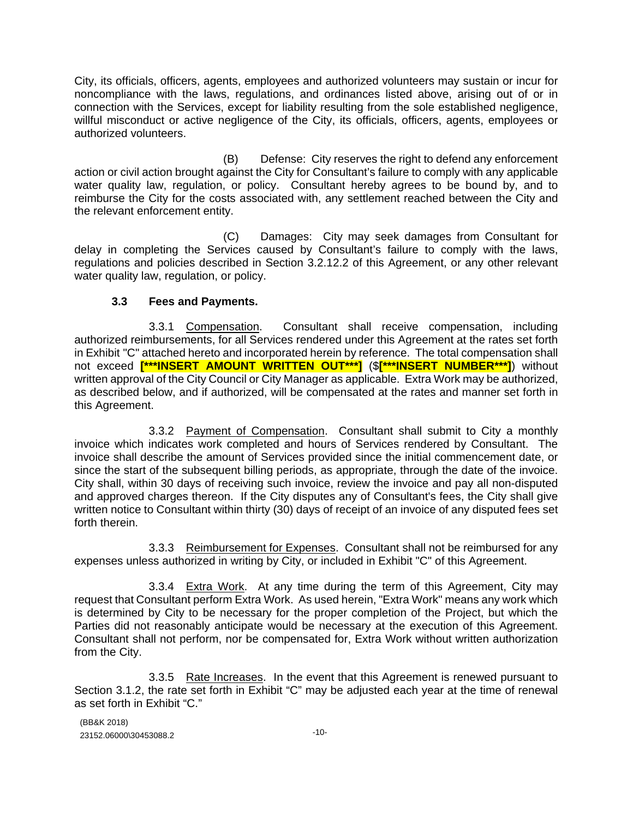City, its officials, officers, agents, employees and authorized volunteers may sustain or incur for noncompliance with the laws, regulations, and ordinances listed above, arising out of or in connection with the Services, except for liability resulting from the sole established negligence, willful misconduct or active negligence of the City, its officials, officers, agents, employees or authorized volunteers.

(B) Defense: City reserves the right to defend any enforcement action or civil action brought against the City for Consultant's failure to comply with any applicable water quality law, regulation, or policy. Consultant hereby agrees to be bound by, and to reimburse the City for the costs associated with, any settlement reached between the City and the relevant enforcement entity.

(C) Damages: City may seek damages from Consultant for delay in completing the Services caused by Consultant's failure to comply with the laws, regulations and policies described in Section 3.2.12.2 of this Agreement, or any other relevant water quality law, regulation, or policy.

## **3.3 Fees and Payments.**

3.3.1 Compensation. Consultant shall receive compensation, including authorized reimbursements, for all Services rendered under this Agreement at the rates set forth in Exhibit "C" attached hereto and incorporated herein by reference. The total compensation shall not exceed **[\*\*\*INSERT AMOUNT WRITTEN OUT\*\*\*]** (\$**[\*\*\*INSERT NUMBER\*\*\*]**) without written approval of the City Council or City Manager as applicable. Extra Work may be authorized, as described below, and if authorized, will be compensated at the rates and manner set forth in this Agreement.

3.3.2 Payment of Compensation. Consultant shall submit to City a monthly invoice which indicates work completed and hours of Services rendered by Consultant. The invoice shall describe the amount of Services provided since the initial commencement date, or since the start of the subsequent billing periods, as appropriate, through the date of the invoice. City shall, within 30 days of receiving such invoice, review the invoice and pay all non-disputed and approved charges thereon. If the City disputes any of Consultant's fees, the City shall give written notice to Consultant within thirty (30) days of receipt of an invoice of any disputed fees set forth therein.

3.3.3 Reimbursement for Expenses. Consultant shall not be reimbursed for any expenses unless authorized in writing by City, or included in Exhibit "C" of this Agreement.

3.3.4 Extra Work. At any time during the term of this Agreement, City may request that Consultant perform Extra Work. As used herein, "Extra Work" means any work which is determined by City to be necessary for the proper completion of the Project, but which the Parties did not reasonably anticipate would be necessary at the execution of this Agreement. Consultant shall not perform, nor be compensated for, Extra Work without written authorization from the City.

3.3.5 Rate Increases. In the event that this Agreement is renewed pursuant to Section 3.1.2, the rate set forth in Exhibit "C" may be adjusted each year at the time of renewal as set forth in Exhibit "C."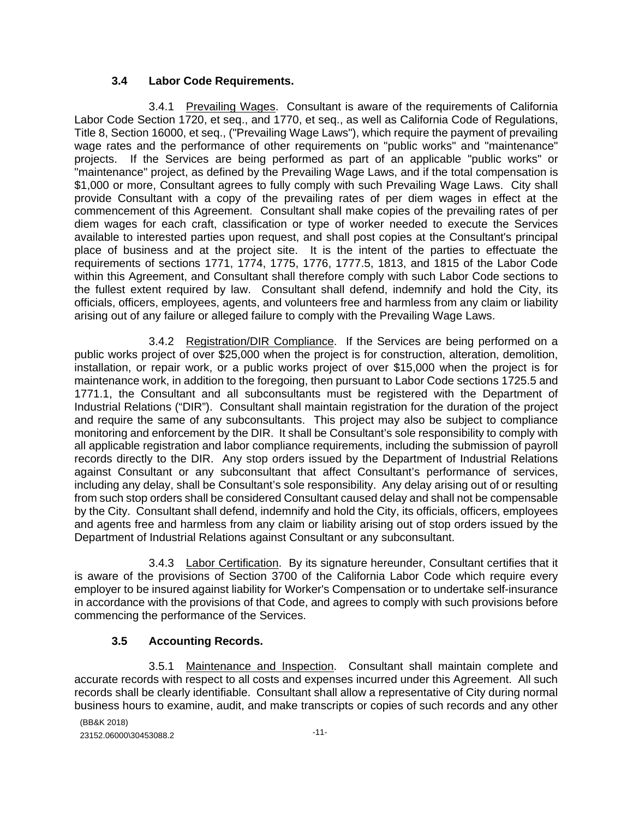### **3.4 Labor Code Requirements.**

3.4.1 Prevailing Wages. Consultant is aware of the requirements of California Labor Code Section 1720, et seq., and 1770, et seq., as well as California Code of Regulations, Title 8, Section 16000, et seq., ("Prevailing Wage Laws"), which require the payment of prevailing wage rates and the performance of other requirements on "public works" and "maintenance" projects. If the Services are being performed as part of an applicable "public works" or "maintenance" project, as defined by the Prevailing Wage Laws, and if the total compensation is \$1,000 or more, Consultant agrees to fully comply with such Prevailing Wage Laws. City shall provide Consultant with a copy of the prevailing rates of per diem wages in effect at the commencement of this Agreement. Consultant shall make copies of the prevailing rates of per diem wages for each craft, classification or type of worker needed to execute the Services available to interested parties upon request, and shall post copies at the Consultant's principal place of business and at the project site. It is the intent of the parties to effectuate the requirements of sections 1771, 1774, 1775, 1776, 1777.5, 1813, and 1815 of the Labor Code within this Agreement, and Consultant shall therefore comply with such Labor Code sections to the fullest extent required by law. Consultant shall defend, indemnify and hold the City, its officials, officers, employees, agents, and volunteers free and harmless from any claim or liability arising out of any failure or alleged failure to comply with the Prevailing Wage Laws.

3.4.2 Registration/DIR Compliance. If the Services are being performed on a public works project of over \$25,000 when the project is for construction, alteration, demolition, installation, or repair work, or a public works project of over \$15,000 when the project is for maintenance work, in addition to the foregoing, then pursuant to Labor Code sections 1725.5 and 1771.1, the Consultant and all subconsultants must be registered with the Department of Industrial Relations ("DIR"). Consultant shall maintain registration for the duration of the project and require the same of any subconsultants. This project may also be subject to compliance monitoring and enforcement by the DIR. It shall be Consultant's sole responsibility to comply with all applicable registration and labor compliance requirements, including the submission of payroll records directly to the DIR. Any stop orders issued by the Department of Industrial Relations against Consultant or any subconsultant that affect Consultant's performance of services, including any delay, shall be Consultant's sole responsibility. Any delay arising out of or resulting from such stop orders shall be considered Consultant caused delay and shall not be compensable by the City. Consultant shall defend, indemnify and hold the City, its officials, officers, employees and agents free and harmless from any claim or liability arising out of stop orders issued by the Department of Industrial Relations against Consultant or any subconsultant.

3.4.3 Labor Certification. By its signature hereunder, Consultant certifies that it is aware of the provisions of Section 3700 of the California Labor Code which require every employer to be insured against liability for Worker's Compensation or to undertake self-insurance in accordance with the provisions of that Code, and agrees to comply with such provisions before commencing the performance of the Services.

### **3.5 Accounting Records.**

3.5.1 Maintenance and Inspection. Consultant shall maintain complete and accurate records with respect to all costs and expenses incurred under this Agreement. All such records shall be clearly identifiable. Consultant shall allow a representative of City during normal business hours to examine, audit, and make transcripts or copies of such records and any other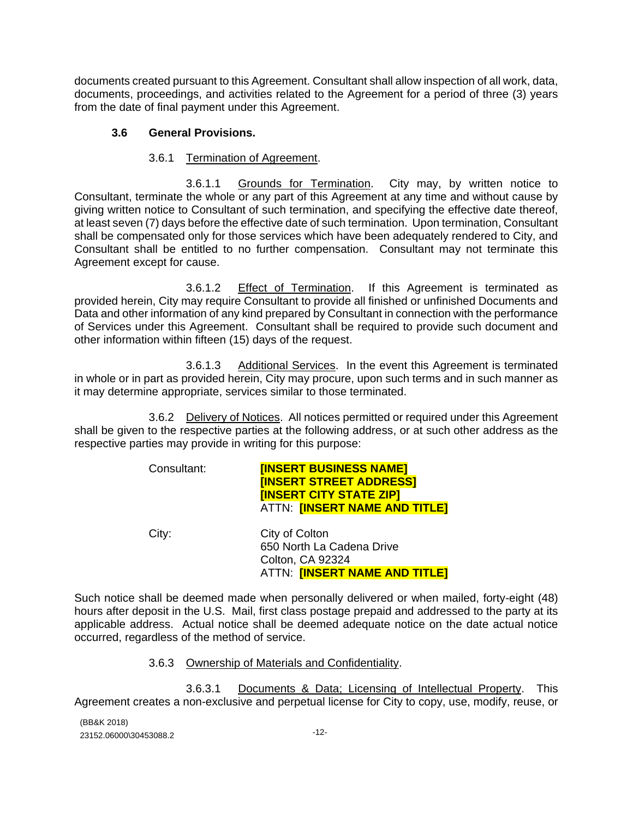documents created pursuant to this Agreement. Consultant shall allow inspection of all work, data, documents, proceedings, and activities related to the Agreement for a period of three (3) years from the date of final payment under this Agreement.

### **3.6 General Provisions.**

### 3.6.1 Termination of Agreement.

3.6.1.1 Grounds for Termination. City may, by written notice to Consultant, terminate the whole or any part of this Agreement at any time and without cause by giving written notice to Consultant of such termination, and specifying the effective date thereof, at least seven (7) days before the effective date of such termination. Upon termination, Consultant shall be compensated only for those services which have been adequately rendered to City, and Consultant shall be entitled to no further compensation. Consultant may not terminate this Agreement except for cause.

3.6.1.2 Effect of Termination. If this Agreement is terminated as provided herein, City may require Consultant to provide all finished or unfinished Documents and Data and other information of any kind prepared by Consultant in connection with the performance of Services under this Agreement. Consultant shall be required to provide such document and other information within fifteen (15) days of the request.

3.6.1.3 Additional Services. In the event this Agreement is terminated in whole or in part as provided herein, City may procure, upon such terms and in such manner as it may determine appropriate, services similar to those terminated.

3.6.2 Delivery of Notices. All notices permitted or required under this Agreement shall be given to the respective parties at the following address, or at such other address as the respective parties may provide in writing for this purpose:

| Consultant: | <b>[INSERT BUSINESS NAME]</b><br><b>[INSERT STREET ADDRESS]</b><br><b>[INSERT CITY STATE ZIP]</b><br>ATTN: <b>[INSERT NAME AND TITLE]</b> |
|-------------|-------------------------------------------------------------------------------------------------------------------------------------------|
| City:       | City of Colton<br>650 North La Cadena Drive<br><b>Colton, CA 92324</b><br>ATTN: <b>[INSERT NAME AND TITLE]</b>                            |

Such notice shall be deemed made when personally delivered or when mailed, forty-eight (48) hours after deposit in the U.S. Mail, first class postage prepaid and addressed to the party at its applicable address. Actual notice shall be deemed adequate notice on the date actual notice occurred, regardless of the method of service.

### 3.6.3 Ownership of Materials and Confidentiality.

3.6.3.1 Documents & Data; Licensing of Intellectual Property. This Agreement creates a non-exclusive and perpetual license for City to copy, use, modify, reuse, or

(BB&K 2018) 23152.06000\30453088.2 -12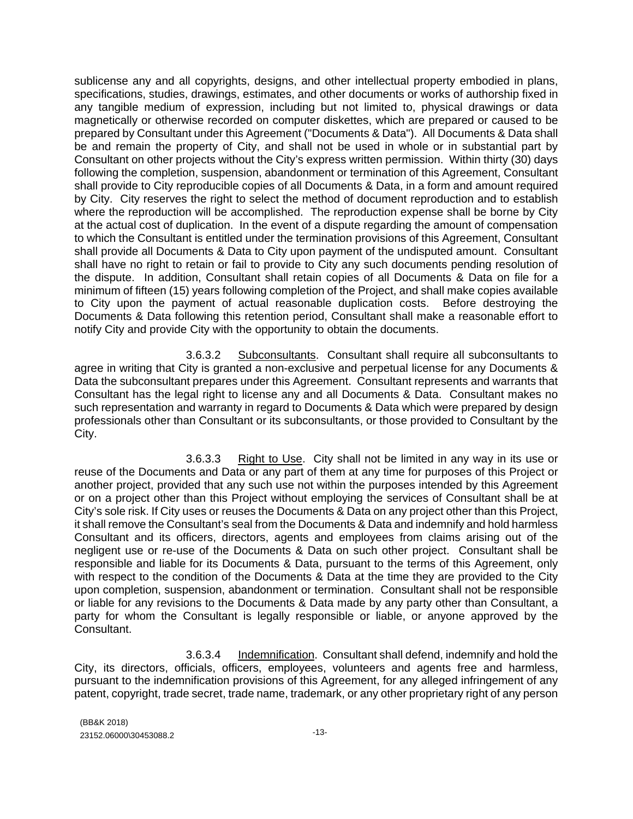sublicense any and all copyrights, designs, and other intellectual property embodied in plans, specifications, studies, drawings, estimates, and other documents or works of authorship fixed in any tangible medium of expression, including but not limited to, physical drawings or data magnetically or otherwise recorded on computer diskettes, which are prepared or caused to be prepared by Consultant under this Agreement ("Documents & Data"). All Documents & Data shall be and remain the property of City, and shall not be used in whole or in substantial part by Consultant on other projects without the City's express written permission. Within thirty (30) days following the completion, suspension, abandonment or termination of this Agreement, Consultant shall provide to City reproducible copies of all Documents & Data, in a form and amount required by City. City reserves the right to select the method of document reproduction and to establish where the reproduction will be accomplished. The reproduction expense shall be borne by City at the actual cost of duplication. In the event of a dispute regarding the amount of compensation to which the Consultant is entitled under the termination provisions of this Agreement, Consultant shall provide all Documents & Data to City upon payment of the undisputed amount. Consultant shall have no right to retain or fail to provide to City any such documents pending resolution of the dispute. In addition, Consultant shall retain copies of all Documents & Data on file for a minimum of fifteen (15) years following completion of the Project, and shall make copies available to City upon the payment of actual reasonable duplication costs. Before destroying the Documents & Data following this retention period, Consultant shall make a reasonable effort to notify City and provide City with the opportunity to obtain the documents.

3.6.3.2 Subconsultants. Consultant shall require all subconsultants to agree in writing that City is granted a non-exclusive and perpetual license for any Documents & Data the subconsultant prepares under this Agreement. Consultant represents and warrants that Consultant has the legal right to license any and all Documents & Data. Consultant makes no such representation and warranty in regard to Documents & Data which were prepared by design professionals other than Consultant or its subconsultants, or those provided to Consultant by the City.

3.6.3.3 Right to Use. City shall not be limited in any way in its use or reuse of the Documents and Data or any part of them at any time for purposes of this Project or another project, provided that any such use not within the purposes intended by this Agreement or on a project other than this Project without employing the services of Consultant shall be at City's sole risk. If City uses or reuses the Documents & Data on any project other than this Project, it shall remove the Consultant's seal from the Documents & Data and indemnify and hold harmless Consultant and its officers, directors, agents and employees from claims arising out of the negligent use or re-use of the Documents & Data on such other project. Consultant shall be responsible and liable for its Documents & Data, pursuant to the terms of this Agreement, only with respect to the condition of the Documents & Data at the time they are provided to the City upon completion, suspension, abandonment or termination. Consultant shall not be responsible or liable for any revisions to the Documents & Data made by any party other than Consultant, a party for whom the Consultant is legally responsible or liable, or anyone approved by the Consultant.

3.6.3.4 Indemnification. Consultant shall defend, indemnify and hold the City, its directors, officials, officers, employees, volunteers and agents free and harmless, pursuant to the indemnification provisions of this Agreement, for any alleged infringement of any patent, copyright, trade secret, trade name, trademark, or any other proprietary right of any person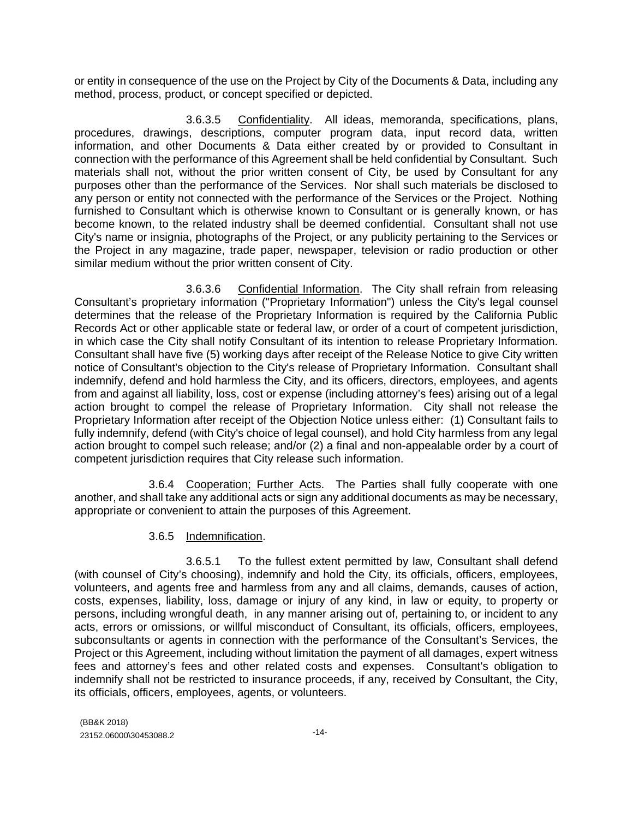or entity in consequence of the use on the Project by City of the Documents & Data, including any method, process, product, or concept specified or depicted.

3.6.3.5 Confidentiality. All ideas, memoranda, specifications, plans, procedures, drawings, descriptions, computer program data, input record data, written information, and other Documents & Data either created by or provided to Consultant in connection with the performance of this Agreement shall be held confidential by Consultant. Such materials shall not, without the prior written consent of City, be used by Consultant for any purposes other than the performance of the Services. Nor shall such materials be disclosed to any person or entity not connected with the performance of the Services or the Project. Nothing furnished to Consultant which is otherwise known to Consultant or is generally known, or has become known, to the related industry shall be deemed confidential. Consultant shall not use City's name or insignia, photographs of the Project, or any publicity pertaining to the Services or the Project in any magazine, trade paper, newspaper, television or radio production or other similar medium without the prior written consent of City.

3.6.3.6 Confidential Information. The City shall refrain from releasing Consultant's proprietary information ("Proprietary Information") unless the City's legal counsel determines that the release of the Proprietary Information is required by the California Public Records Act or other applicable state or federal law, or order of a court of competent jurisdiction, in which case the City shall notify Consultant of its intention to release Proprietary Information. Consultant shall have five (5) working days after receipt of the Release Notice to give City written notice of Consultant's objection to the City's release of Proprietary Information. Consultant shall indemnify, defend and hold harmless the City, and its officers, directors, employees, and agents from and against all liability, loss, cost or expense (including attorney's fees) arising out of a legal action brought to compel the release of Proprietary Information. City shall not release the Proprietary Information after receipt of the Objection Notice unless either: (1) Consultant fails to fully indemnify, defend (with City's choice of legal counsel), and hold City harmless from any legal action brought to compel such release; and/or (2) a final and non-appealable order by a court of competent jurisdiction requires that City release such information.

3.6.4 Cooperation; Further Acts. The Parties shall fully cooperate with one another, and shall take any additional acts or sign any additional documents as may be necessary, appropriate or convenient to attain the purposes of this Agreement.

### 3.6.5 Indemnification.

3.6.5.1 To the fullest extent permitted by law, Consultant shall defend (with counsel of City's choosing), indemnify and hold the City, its officials, officers, employees, volunteers, and agents free and harmless from any and all claims, demands, causes of action, costs, expenses, liability, loss, damage or injury of any kind, in law or equity, to property or persons, including wrongful death, in any manner arising out of, pertaining to, or incident to any acts, errors or omissions, or willful misconduct of Consultant, its officials, officers, employees, subconsultants or agents in connection with the performance of the Consultant's Services, the Project or this Agreement, including without limitation the payment of all damages, expert witness fees and attorney's fees and other related costs and expenses. Consultant's obligation to indemnify shall not be restricted to insurance proceeds, if any, received by Consultant, the City, its officials, officers, employees, agents, or volunteers.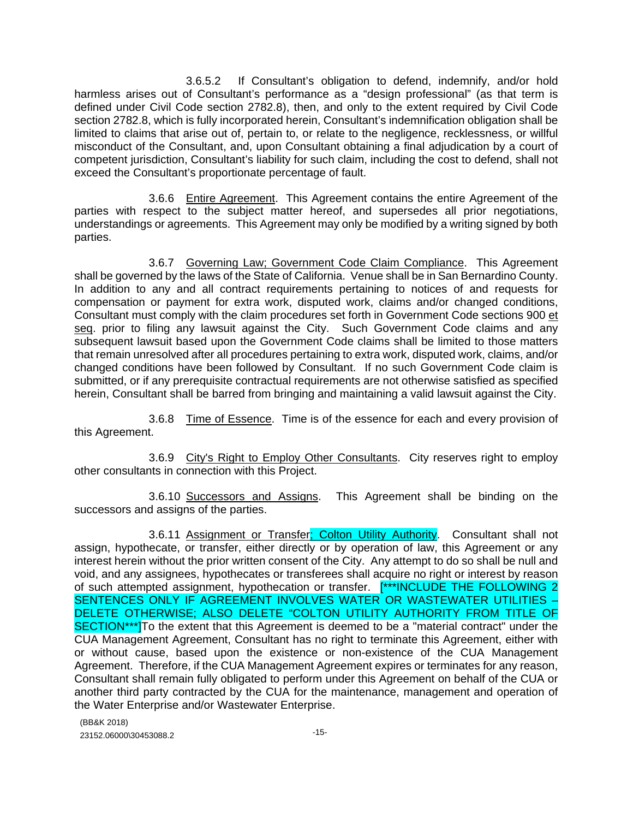3.6.5.2 If Consultant's obligation to defend, indemnify, and/or hold harmless arises out of Consultant's performance as a "design professional" (as that term is defined under Civil Code section 2782.8), then, and only to the extent required by Civil Code section 2782.8, which is fully incorporated herein, Consultant's indemnification obligation shall be limited to claims that arise out of, pertain to, or relate to the negligence, recklessness, or willful misconduct of the Consultant, and, upon Consultant obtaining a final adjudication by a court of competent jurisdiction, Consultant's liability for such claim, including the cost to defend, shall not exceed the Consultant's proportionate percentage of fault.

3.6.6 Entire Agreement. This Agreement contains the entire Agreement of the parties with respect to the subject matter hereof, and supersedes all prior negotiations, understandings or agreements. This Agreement may only be modified by a writing signed by both parties.

3.6.7 Governing Law; Government Code Claim Compliance. This Agreement shall be governed by the laws of the State of California. Venue shall be in San Bernardino County. In addition to any and all contract requirements pertaining to notices of and requests for compensation or payment for extra work, disputed work, claims and/or changed conditions, Consultant must comply with the claim procedures set forth in Government Code sections 900 et seq. prior to filing any lawsuit against the City. Such Government Code claims and any subsequent lawsuit based upon the Government Code claims shall be limited to those matters that remain unresolved after all procedures pertaining to extra work, disputed work, claims, and/or changed conditions have been followed by Consultant. If no such Government Code claim is submitted, or if any prerequisite contractual requirements are not otherwise satisfied as specified herein, Consultant shall be barred from bringing and maintaining a valid lawsuit against the City.

3.6.8 Time of Essence. Time is of the essence for each and every provision of this Agreement.

3.6.9 City's Right to Employ Other Consultants. City reserves right to employ other consultants in connection with this Project.

3.6.10 Successors and Assigns. This Agreement shall be binding on the successors and assigns of the parties.

3.6.11 Assignment or Transfer; Colton Utility Authority. Consultant shall not assign, hypothecate, or transfer, either directly or by operation of law, this Agreement or any interest herein without the prior written consent of the City. Any attempt to do so shall be null and void, and any assignees, hypothecates or transferees shall acquire no right or interest by reason of such attempted assignment, hypothecation or transfer. [\*\*\*INCLUDE THE FOLLOWING 2 SENTENCES ONLY IF AGREEMENT INVOLVES WATER OR WASTEWATER UTILITIES – DELETE OTHERWISE; ALSO DELETE "COLTON UTILITY AUTHORITY FROM TITLE OF SECTION\*\*\*]To the extent that this Agreement is deemed to be a "material contract" under the CUA Management Agreement, Consultant has no right to terminate this Agreement, either with or without cause, based upon the existence or non-existence of the CUA Management Agreement. Therefore, if the CUA Management Agreement expires or terminates for any reason, Consultant shall remain fully obligated to perform under this Agreement on behalf of the CUA or another third party contracted by the CUA for the maintenance, management and operation of the Water Enterprise and/or Wastewater Enterprise.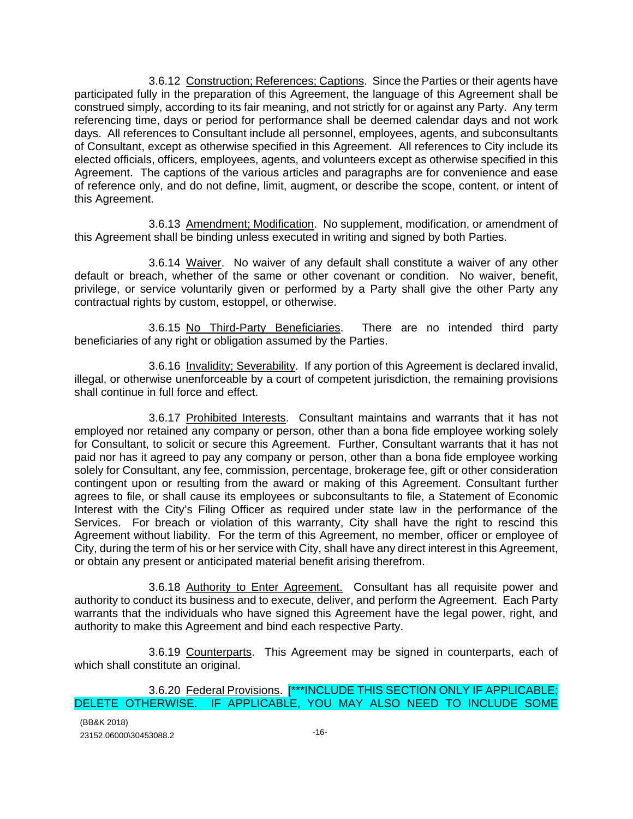3.6.12 Construction; References; Captions. Since the Parties or their agents have participated fully in the preparation of this Agreement, the language of this Agreement shall be construed simply, according to its fair meaning, and not strictly for or against any Party. Any term referencing time, days or period for performance shall be deemed calendar days and not work days. All references to Consultant include all personnel, employees, agents, and subconsultants of Consultant, except as otherwise specified in this Agreement. All references to City include its elected officials, officers, employees, agents, and volunteers except as otherwise specified in this Agreement. The captions of the various articles and paragraphs are for convenience and ease of reference only, and do not define, limit, augment, or describe the scope, content, or intent of this Agreement.

3.6.13 Amendment; Modification. No supplement, modification, or amendment of this Agreement shall be binding unless executed in writing and signed by both Parties.

3.6.14 Waiver. No waiver of any default shall constitute a waiver of any other default or breach, whether of the same or other covenant or condition. No waiver, benefit, privilege, or service voluntarily given or performed by a Party shall give the other Party any contractual rights by custom, estoppel, or otherwise.

3.6.15 No Third-Party Beneficiaries. There are no intended third party beneficiaries of any right or obligation assumed by the Parties.

3.6.16 Invalidity; Severability. If any portion of this Agreement is declared invalid, illegal, or otherwise unenforceable by a court of competent jurisdiction, the remaining provisions shall continue in full force and effect.

3.6.17 Prohibited Interests. Consultant maintains and warrants that it has not employed nor retained any company or person, other than a bona fide employee working solely for Consultant, to solicit or secure this Agreement. Further, Consultant warrants that it has not paid nor has it agreed to pay any company or person, other than a bona fide employee working solely for Consultant, any fee, commission, percentage, brokerage fee, gift or other consideration contingent upon or resulting from the award or making of this Agreement. Consultant further agrees to file, or shall cause its employees or subconsultants to file, a Statement of Economic Interest with the City's Filing Officer as required under state law in the performance of the Services. For breach or violation of this warranty, City shall have the right to rescind this Agreement without liability. For the term of this Agreement, no member, officer or employee of City, during the term of his or her service with City, shall have any direct interest in this Agreement, or obtain any present or anticipated material benefit arising therefrom.

3.6.18 Authority to Enter Agreement. Consultant has all requisite power and authority to conduct its business and to execute, deliver, and perform the Agreement. Each Party warrants that the individuals who have signed this Agreement have the legal power, right, and authority to make this Agreement and bind each respective Party.

3.6.19 Counterparts. This Agreement may be signed in counterparts, each of which shall constitute an original.

#### 3.6.20 Federal Provisions. [\*\*\*INCLUDE THIS SECTION ONLY IF APPLICABLE; DELETE OTHERWISE. IF APPLICABLE, YOU MAY ALSO NEED TO INCLUDE SOME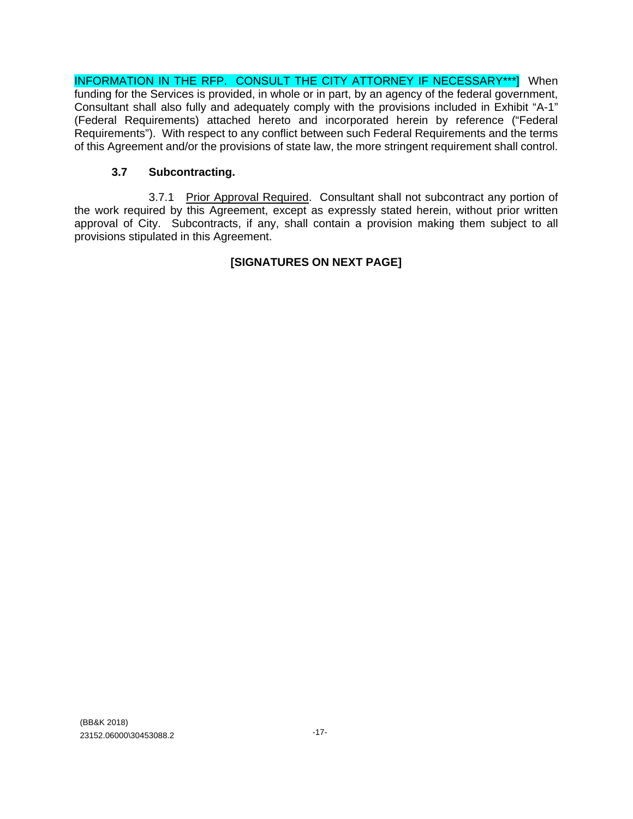INFORMATION IN THE RFP. CONSULT THE CITY ATTORNEY IF NECESSARY\*\*\*] When funding for the Services is provided, in whole or in part, by an agency of the federal government, Consultant shall also fully and adequately comply with the provisions included in Exhibit "A-1" (Federal Requirements) attached hereto and incorporated herein by reference ("Federal Requirements"). With respect to any conflict between such Federal Requirements and the terms of this Agreement and/or the provisions of state law, the more stringent requirement shall control.

## **3.7 Subcontracting.**

3.7.1 Prior Approval Required. Consultant shall not subcontract any portion of the work required by this Agreement, except as expressly stated herein, without prior written approval of City. Subcontracts, if any, shall contain a provision making them subject to all provisions stipulated in this Agreement.

## **[SIGNATURES ON NEXT PAGE]**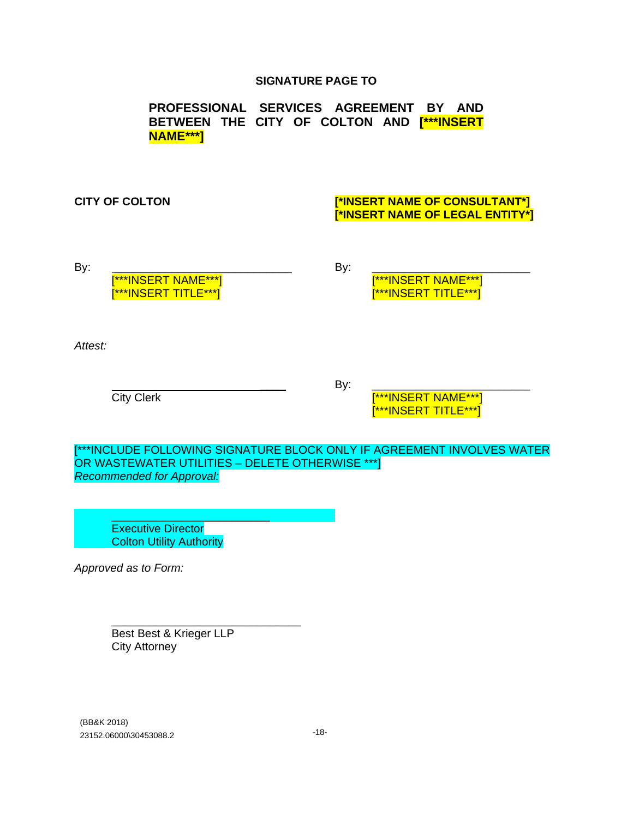### **SIGNATURE PAGE TO**

**PROFESSIONAL SERVICES AGREEMENT BY AND BETWEEN THE CITY OF COLTON AND [\*\*\*INSERT NAME\*\*\*]**

### **CITY OF COLTON [\*INSERT NAME OF CONSULTANT\*] [\*INSERT NAME OF LEGAL ENTITY\*]**

By: \_\_\_\_\_\_\_\_\_\_\_\_\_\_\_\_\_\_\_\_\_\_\_\_\_\_\_\_ By: \_\_\_\_\_\_\_\_\_\_\_\_\_\_\_\_\_\_\_\_\_\_\_\_\_

[\*\*\*INSERT NAME\*\*\*] [\*\*\*INSERT NAME\*\*\*] [\*\*\*INSERT TITLE\*\*\*] [\*\*\*INSERT TITLE\*\*\*]

*Attest:*

\_\_\_\_ By: \_\_\_\_\_\_\_\_\_\_\_\_\_\_\_\_\_\_\_\_\_\_\_\_\_

City Clerk **City Clerk City Clerk City Clerk City Clerk City Clerk City Clerk City** [\*\*\*INSERT TITLE\*\*\*]

[\*\*\*INCLUDE FOLLOWING SIGNATURE BLOCK ONLY IF AGREEMENT INVOLVES WATER OR WASTEWATER UTILITIES – DELETE OTHERWISE \*\*\*] *Recommended for Approval:*

\_\_\_\_\_\_\_\_\_\_\_\_\_\_\_\_\_\_\_\_\_\_\_\_\_ Executive Director **Colton Utility Authority** 

*Approved as to Form:*

\_\_\_\_\_\_\_\_\_\_\_\_\_\_\_\_\_\_\_\_\_\_\_\_\_\_\_\_\_\_ Best Best & Krieger LLP City Attorney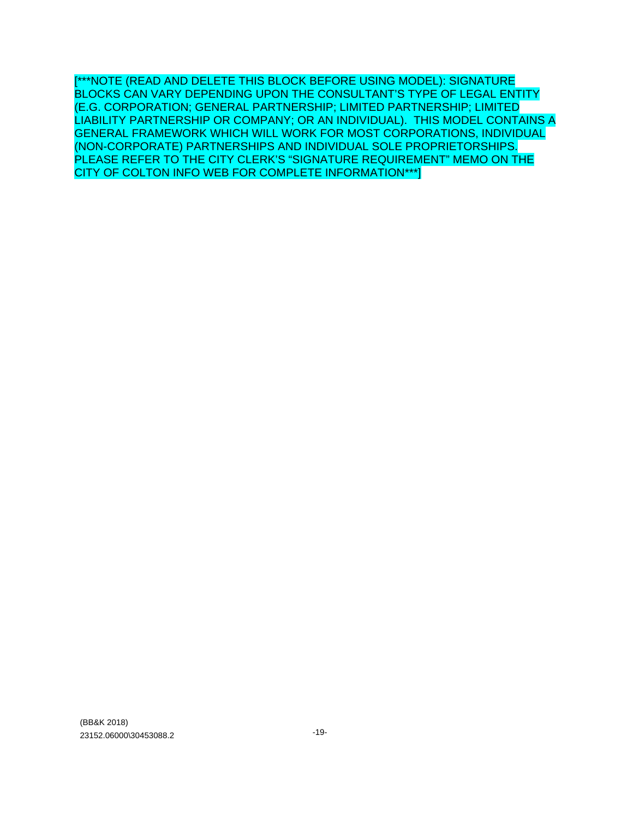[\*\*\*NOTE (READ AND DELETE THIS BLOCK BEFORE USING MODEL): SIGNATURE BLOCKS CAN VARY DEPENDING UPON THE CONSULTANT'S TYPE OF LEGAL ENTITY (E.G. CORPORATION; GENERAL PARTNERSHIP; LIMITED PARTNERSHIP; LIMITED LIABILITY PARTNERSHIP OR COMPANY; OR AN INDIVIDUAL). THIS MODEL CONTAINS A GENERAL FRAMEWORK WHICH WILL WORK FOR MOST CORPORATIONS, INDIVIDUAL (NON-CORPORATE) PARTNERSHIPS AND INDIVIDUAL SOLE PROPRIETORSHIPS. PLEASE REFER TO THE CITY CLERK'S "SIGNATURE REQUIREMENT" MEMO ON THE CITY OF COLTON INFO WEB FOR COMPLETE INFORMATION\*\*\*]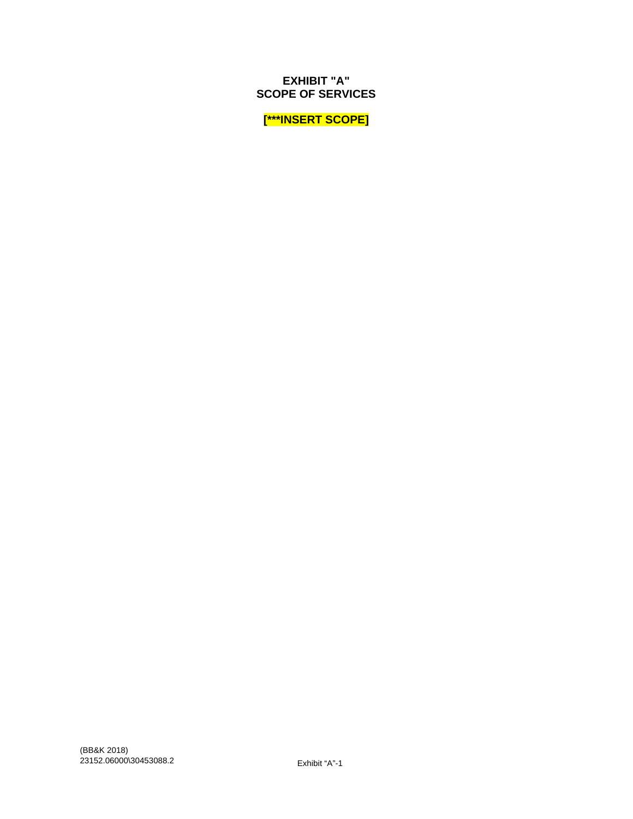**SCOPE OF SERVICES**

**[\*\*\*INSERT SCOPE]**

**EXHIBIT "A"**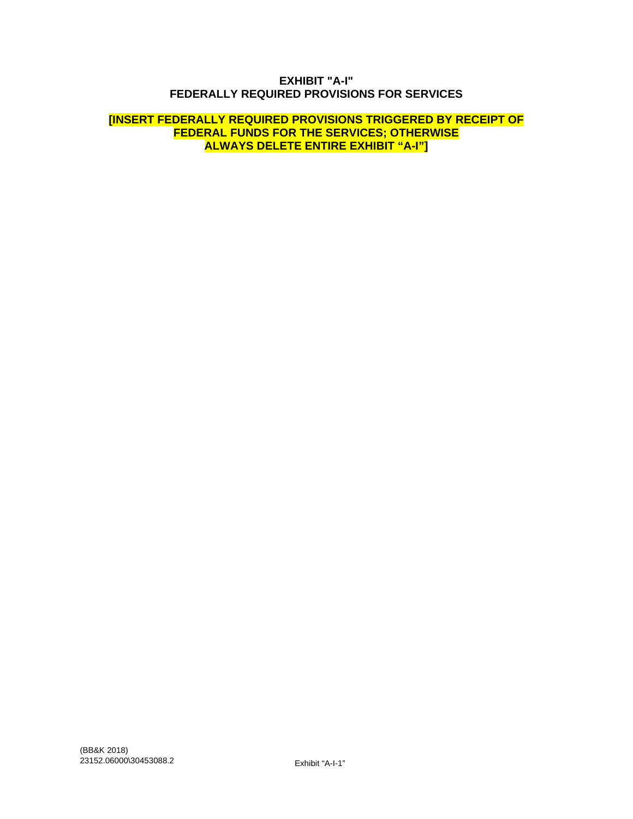#### **EXHIBIT "A-I" FEDERALLY REQUIRED PROVISIONS FOR SERVICES**

#### **[INSERT FEDERALLY REQUIRED PROVISIONS TRIGGERED BY RECEIPT OF FEDERAL FUNDS FOR THE SERVICES; OTHERWISE ALWAYS DELETE ENTIRE EXHIBIT "A-I"]**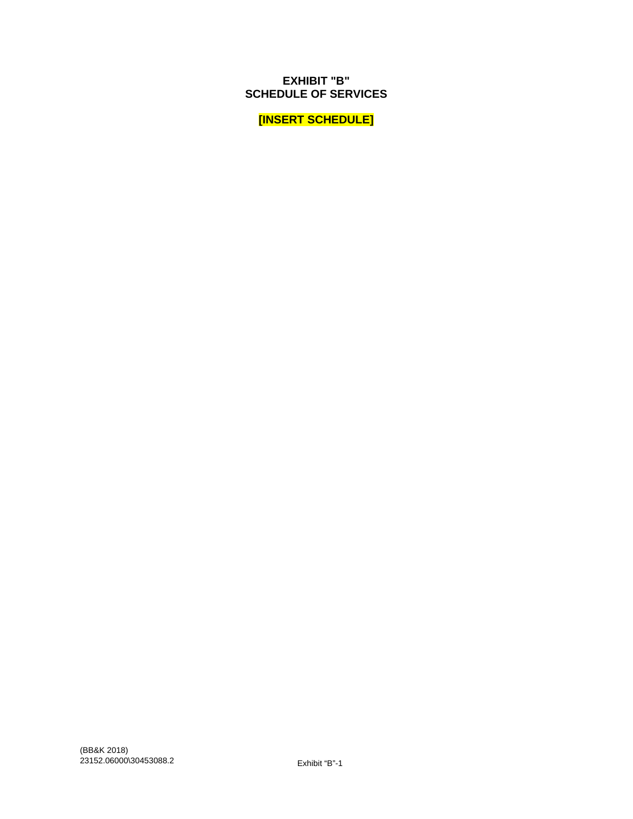**[INSERT SCHEDULE]**

**EXHIBIT "B" SCHEDULE OF SERVICES**